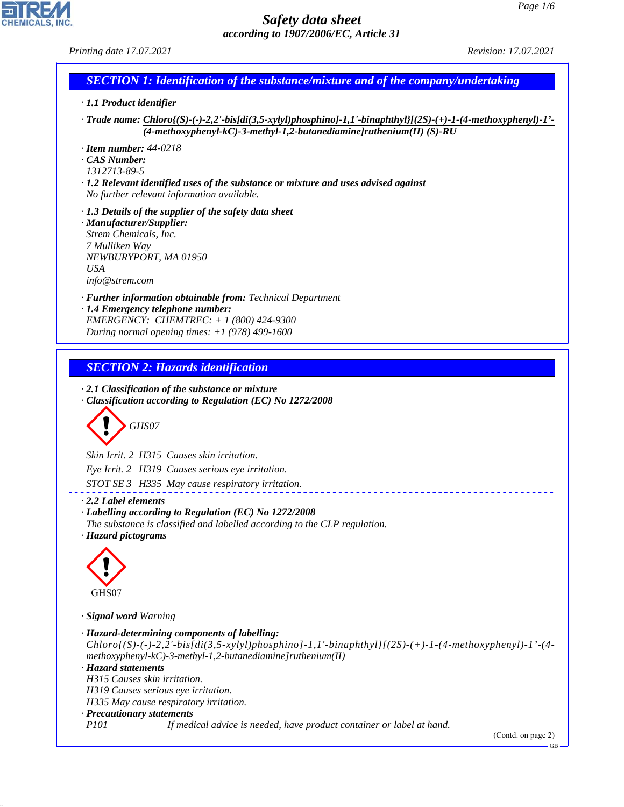# CHEMICALS, INC.

44.1.1

# *Safety data sheet according to 1907/2006/EC, Article 31*

| Printing date 17.07.2021                                                                                                                                                                                                                          | Revision: 17.07.2021 |
|---------------------------------------------------------------------------------------------------------------------------------------------------------------------------------------------------------------------------------------------------|----------------------|
| <b>SECTION 1: Identification of the substance/mixture and of the company/undertaking</b>                                                                                                                                                          |                      |
| · 1.1 Product identifier                                                                                                                                                                                                                          |                      |
| $\cdot$ Trade name: Chloro{(S)-(-)-2,2'-bis[di(3,5-xylyl)phosphino]-1,1'-binaphthyl}[(2S)-(+)-1-(4-methoxyphenyl)-1'-<br>$(4-methoxyphenyl-kC)-3-methyl-1,2-butanediamine Jruthenium(II) (S)-RU$                                                  |                      |
| $\cdot$ Item number: 44-0218<br><b>CAS Number:</b><br>1312713-89-5                                                                                                                                                                                |                      |
| $\cdot$ 1.2 Relevant identified uses of the substance or mixture and uses advised against<br>No further relevant information available.                                                                                                           |                      |
| $\cdot$ 1.3 Details of the supplier of the safety data sheet<br>· Manufacturer/Supplier:<br>Strem Chemicals, Inc.<br>7 Mulliken Way<br>NEWBURYPORT, MA 01950<br><b>USA</b><br>info@strem.com                                                      |                      |
| · <b>Further information obtainable from:</b> Technical Department<br>1.4 Emergency telephone number:<br>EMERGENCY: CHEMTREC: $+ 1 (800) 424 - 9300$<br>During normal opening times: $+1$ (978) 499-1600                                          |                      |
|                                                                                                                                                                                                                                                   |                      |
| <b>SECTION 2: Hazards identification</b>                                                                                                                                                                                                          |                      |
| $\cdot$ 2.1 Classification of the substance or mixture<br>Classification according to Regulation (EC) No 1272/2008<br>GHS07                                                                                                                       |                      |
| Skin Irrit. 2 H315 Causes skin irritation.                                                                                                                                                                                                        |                      |
| Eye Irrit. 2 H319 Causes serious eye irritation.                                                                                                                                                                                                  |                      |
| STOT SE 3 H335 May cause respiratory irritation.                                                                                                                                                                                                  |                      |
| $\cdot$ 2.2 Label elements<br>· Labelling according to Regulation (EC) No 1272/2008<br>The substance is classified and labelled according to the CLP regulation.<br>· Hazard pictograms                                                           |                      |
| GHS07                                                                                                                                                                                                                                             |                      |
| · Signal word Warning                                                                                                                                                                                                                             |                      |
| · Hazard-determining components of labelling:<br>$Chloro$ {(S)-(-)-2,2'-bis[di(3,5-xylyl)phosphino]-1,1'-binaphthyl}[(2S)-(+)-1-(4-methoxyphenyl)-1'-(4-<br>$methodsyphenyl-kC$ )-3-methyl-1,2-butanediamine]ruthenium(II)<br>· Hazard statements |                      |
| H315 Causes skin irritation.<br>H319 Causes serious eye irritation.                                                                                                                                                                               |                      |
| H335 May cause respiratory irritation.                                                                                                                                                                                                            |                      |
| · Precautionary statements<br><i>P101</i><br>If medical advice is needed, have product container or label at hand.                                                                                                                                |                      |

(Contd. on page 2)

 $-$ GB $-$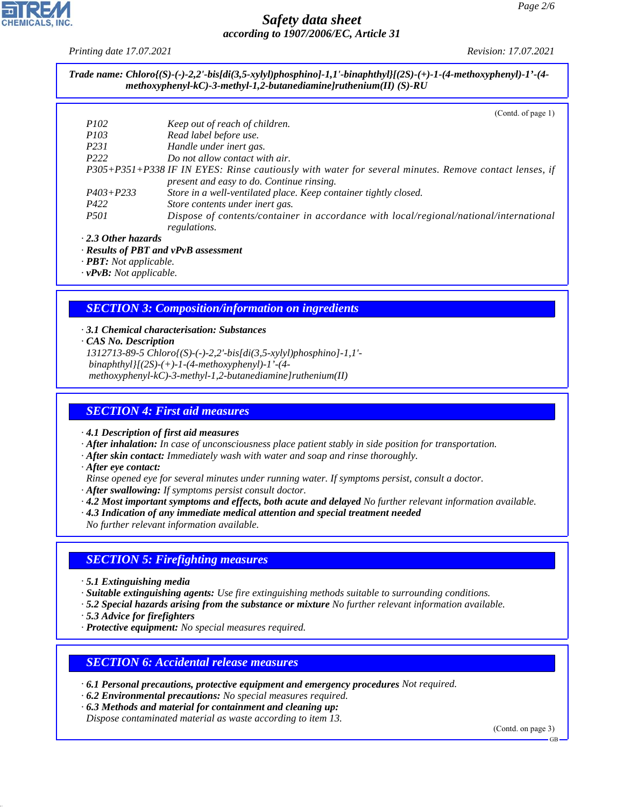*Printing date 17.07.2021 Revision: 17.07.2021*

*Trade name: Chloro{(S)-(-)-2,2'-bis[di(3,5-xylyl)phosphino]-1,1'-binaphthyl}[(2S)-(+)-1-(4-methoxyphenyl)-1'-(4 methoxyphenyl-kC)-3-methyl-1,2-butanediamine]ruthenium(II) (S)-RU*

 $(C_{\text{out}}d, af_{\text{meas}})$ 

|                           | $\sqrt{2}$ (Contains of page 1)                                                                       |
|---------------------------|-------------------------------------------------------------------------------------------------------|
| <i>P102</i>               | Keep out of reach of children.                                                                        |
| <i>P103</i>               | Read label before use.                                                                                |
| P <sub>231</sub>          | Handle under inert gas.                                                                               |
| P <sub>222</sub>          | Do not allow contact with air.                                                                        |
|                           | P305+P351+P338 IF IN EYES: Rinse cautiously with water for several minutes. Remove contact lenses, if |
|                           | present and easy to do. Continue rinsing.                                                             |
| $P403 + P233$             | Store in a well-ventilated place. Keep container tightly closed.                                      |
| P422                      | Store contents under inert gas.                                                                       |
| <i>P501</i>               | Dispose of contents/container in accordance with local/regional/national/international                |
|                           | regulations.                                                                                          |
| $\cdot$ 2.3 Other hazards |                                                                                                       |

*· Results of PBT and vPvB assessment*

*· PBT: Not applicable.*

*· vPvB: Not applicable.*

### *SECTION 3: Composition/information on ingredients*

#### *· 3.1 Chemical characterisation: Substances*

*· CAS No. Description*

*1312713-89-5 Chloro{(S)-(-)-2,2'-bis[di(3,5-xylyl)phosphino]-1,1' binaphthyl}[(2S)-(+)-1-(4-methoxyphenyl)-1'-(4 methoxyphenyl-kC)-3-methyl-1,2-butanediamine]ruthenium(II)*

#### *SECTION 4: First aid measures*

*· 4.1 Description of first aid measures*

*· After inhalation: In case of unconsciousness place patient stably in side position for transportation.*

- *· After skin contact: Immediately wash with water and soap and rinse thoroughly.*
- *· After eye contact:*
- *Rinse opened eye for several minutes under running water. If symptoms persist, consult a doctor.*
- *· After swallowing: If symptoms persist consult doctor.*
- *· 4.2 Most important symptoms and effects, both acute and delayed No further relevant information available.*
- *· 4.3 Indication of any immediate medical attention and special treatment needed*

*No further relevant information available.*

#### *SECTION 5: Firefighting measures*

*· 5.1 Extinguishing media*

*· Suitable extinguishing agents: Use fire extinguishing methods suitable to surrounding conditions.*

*· 5.2 Special hazards arising from the substance or mixture No further relevant information available.*

*· 5.3 Advice for firefighters*

44.1.1

*· Protective equipment: No special measures required.*

#### *SECTION 6: Accidental release measures*

*· 6.1 Personal precautions, protective equipment and emergency procedures Not required.*

- *· 6.2 Environmental precautions: No special measures required.*
- *· 6.3 Methods and material for containment and cleaning up:*

*Dispose contaminated material as waste according to item 13.*

(Contd. on page 3)

GB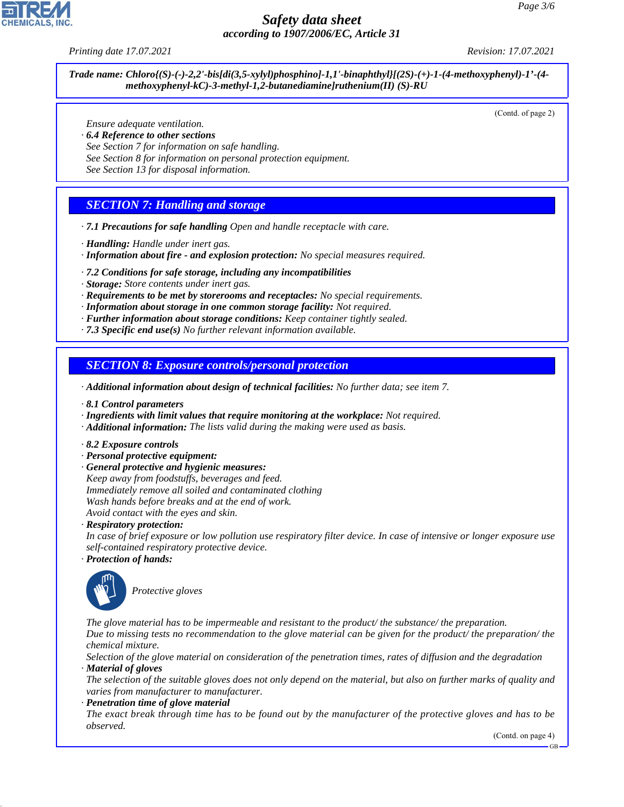*Printing date 17.07.2021 Revision: 17.07.2021*

*Trade name: Chloro{(S)-(-)-2,2'-bis[di(3,5-xylyl)phosphino]-1,1'-binaphthyl}[(2S)-(+)-1-(4-methoxyphenyl)-1'-(4 methoxyphenyl-kC)-3-methyl-1,2-butanediamine]ruthenium(II) (S)-RU*

(Contd. of page 2)

*Ensure adequate ventilation.*

- *· 6.4 Reference to other sections*
- *See Section 7 for information on safe handling.*
- *See Section 8 for information on personal protection equipment.*

*See Section 13 for disposal information.*

#### *SECTION 7: Handling and storage*

- *· 7.1 Precautions for safe handling Open and handle receptacle with care.*
- *· Handling: Handle under inert gas.*
- *· Information about fire and explosion protection: No special measures required.*
- *· 7.2 Conditions for safe storage, including any incompatibilities*
- *· Storage: Store contents under inert gas.*
- *· Requirements to be met by storerooms and receptacles: No special requirements.*
- *· Information about storage in one common storage facility: Not required.*
- *· Further information about storage conditions: Keep container tightly sealed.*
- *· 7.3 Specific end use(s) No further relevant information available.*

*SECTION 8: Exposure controls/personal protection*

*· Additional information about design of technical facilities: No further data; see item 7.*

- *· 8.1 Control parameters*
- *· Ingredients with limit values that require monitoring at the workplace: Not required.*
- *· Additional information: The lists valid during the making were used as basis.*
- *· 8.2 Exposure controls*
- *· Personal protective equipment:*
- *· General protective and hygienic measures:*
- *Keep away from foodstuffs, beverages and feed.*
- *Immediately remove all soiled and contaminated clothing*
- *Wash hands before breaks and at the end of work. Avoid contact with the eyes and skin.*
- *· Respiratory protection:*
- *In case of brief exposure or low pollution use respiratory filter device. In case of intensive or longer exposure use self-contained respiratory protective device.*
- *· Protection of hands:*



44.1.1

\_S*Protective gloves*

*The glove material has to be impermeable and resistant to the product/ the substance/ the preparation. Due to missing tests no recommendation to the glove material can be given for the product/ the preparation/ the chemical mixture.*

*Selection of the glove material on consideration of the penetration times, rates of diffusion and the degradation · Material of gloves*

*The selection of the suitable gloves does not only depend on the material, but also on further marks of quality and varies from manufacturer to manufacturer.*

*· Penetration time of glove material*

*The exact break through time has to be found out by the manufacturer of the protective gloves and has to be observed.*

(Contd. on page 4)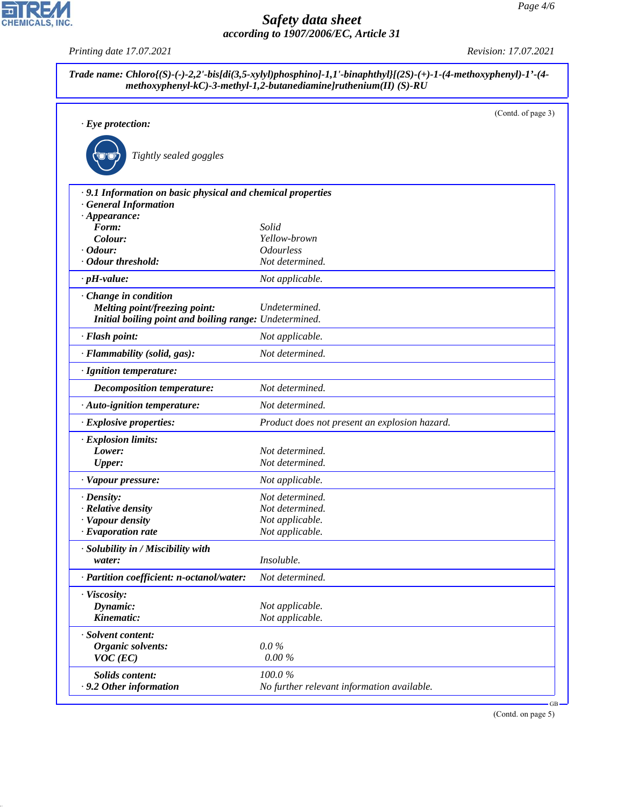|                                                             |                                               | (Contd. of page 3) |
|-------------------------------------------------------------|-----------------------------------------------|--------------------|
| $\cdot$ Eye protection:                                     |                                               |                    |
| Tightly sealed goggles                                      |                                               |                    |
| · 9.1 Information on basic physical and chemical properties |                                               |                    |
| <b>General Information</b>                                  |                                               |                    |
| $\cdot$ Appearance:                                         |                                               |                    |
| Form:                                                       | Solid                                         |                    |
| Colour:<br>$\cdot$ Odour:                                   | Yellow-brown<br><b>Odourless</b>              |                    |
| <b>Odour threshold:</b>                                     | Not determined.                               |                    |
| $\cdot$ pH-value:                                           | Not applicable.                               |                    |
|                                                             |                                               |                    |
| Change in condition<br>Melting point/freezing point:        | Undetermined.                                 |                    |
| Initial boiling point and boiling range: Undetermined.      |                                               |                    |
| · Flash point:                                              | Not applicable.                               |                    |
| · Flammability (solid, gas):                                | Not determined.                               |                    |
| · Ignition temperature:                                     |                                               |                    |
| <b>Decomposition temperature:</b>                           | Not determined.                               |                    |
| · Auto-ignition temperature:                                | Not determined.                               |                    |
| · Explosive properties:                                     | Product does not present an explosion hazard. |                    |
| · Explosion limits:                                         |                                               |                    |
| Lower:                                                      | Not determined.                               |                    |
| <b>Upper:</b>                                               | Not determined.                               |                    |
| · Vapour pressure:                                          | Not applicable.                               |                    |
| · Density:                                                  | Not determined.                               |                    |
| · Relative density                                          | Not determined.                               |                    |
| · Vapour density                                            | Not applicable.                               |                    |
| $\cdot$ Evaporation rate                                    | Not applicable.                               |                    |
| · Solubility in / Miscibility with                          |                                               |                    |
| water:                                                      | Insoluble.                                    |                    |
| · Partition coefficient: n-octanol/water:                   | Not determined.                               |                    |
| · Viscosity:                                                |                                               |                    |
| Dynamic:                                                    | Not applicable.                               |                    |
| Kinematic:                                                  | Not applicable.                               |                    |
| · Solvent content:                                          |                                               |                    |
| <b>Organic solvents:</b>                                    | $0.0\%$                                       |                    |
| $VOC$ (EC)                                                  | 0.00%                                         |                    |
| <b>Solids content:</b>                                      | 100.0%                                        |                    |
| .9.2 Other information                                      | No further relevant information available.    |                    |

(Contd. on page 5)



44.1.1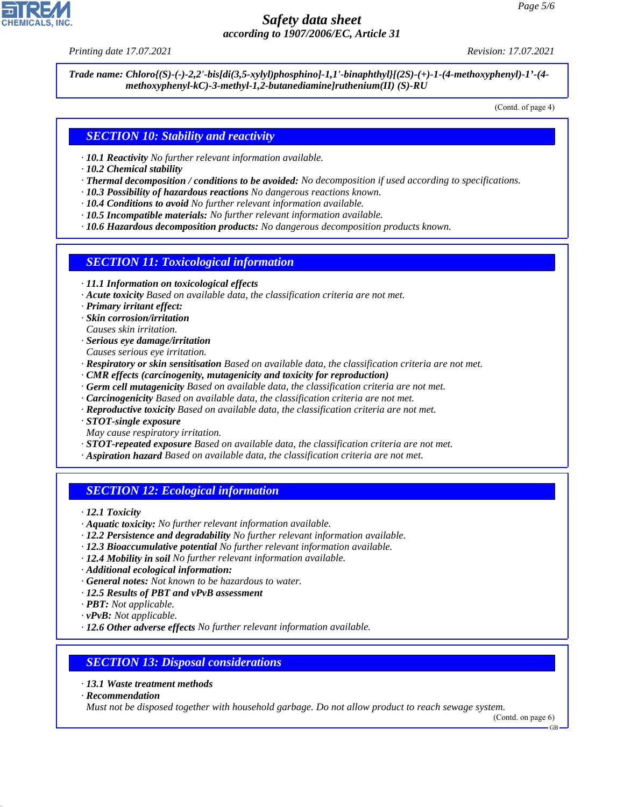*Printing date 17.07.2021 Revision: 17.07.2021*

*Trade name: Chloro{(S)-(-)-2,2'-bis[di(3,5-xylyl)phosphino]-1,1'-binaphthyl}[(2S)-(+)-1-(4-methoxyphenyl)-1'-(4 methoxyphenyl-kC)-3-methyl-1,2-butanediamine]ruthenium(II) (S)-RU*

(Contd. of page 4)

### *SECTION 10: Stability and reactivity*

- *· 10.1 Reactivity No further relevant information available.*
- *· 10.2 Chemical stability*
- *· Thermal decomposition / conditions to be avoided: No decomposition if used according to specifications.*
- *· 10.3 Possibility of hazardous reactions No dangerous reactions known.*
- *· 10.4 Conditions to avoid No further relevant information available.*
- *· 10.5 Incompatible materials: No further relevant information available.*
- *· 10.6 Hazardous decomposition products: No dangerous decomposition products known.*

#### *SECTION 11: Toxicological information*

- *· 11.1 Information on toxicological effects*
- *· Acute toxicity Based on available data, the classification criteria are not met.*
- *· Primary irritant effect:*
- *· Skin corrosion/irritation*
- *Causes skin irritation.*
- *· Serious eye damage/irritation*
- *Causes serious eye irritation.*
- *· Respiratory or skin sensitisation Based on available data, the classification criteria are not met.*
- *· CMR effects (carcinogenity, mutagenicity and toxicity for reproduction)*
- *· Germ cell mutagenicity Based on available data, the classification criteria are not met.*
- *· Carcinogenicity Based on available data, the classification criteria are not met.*
- *· Reproductive toxicity Based on available data, the classification criteria are not met.*
- *· STOT-single exposure*
- *May cause respiratory irritation.*
- *· STOT-repeated exposure Based on available data, the classification criteria are not met.*
- *· Aspiration hazard Based on available data, the classification criteria are not met.*

# *SECTION 12: Ecological information*

*· 12.1 Toxicity*

- *· Aquatic toxicity: No further relevant information available.*
- *· 12.2 Persistence and degradability No further relevant information available.*
- *· 12.3 Bioaccumulative potential No further relevant information available.*
- *· 12.4 Mobility in soil No further relevant information available.*
- *· Additional ecological information:*
- *· General notes: Not known to be hazardous to water.*
- *· 12.5 Results of PBT and vPvB assessment*
- *· PBT: Not applicable.*
- *· vPvB: Not applicable.*
- *· 12.6 Other adverse effects No further relevant information available.*

#### *SECTION 13: Disposal considerations*

- *· 13.1 Waste treatment methods*
- *· Recommendation*

44.1.1

*Must not be disposed together with household garbage. Do not allow product to reach sewage system.*

GB